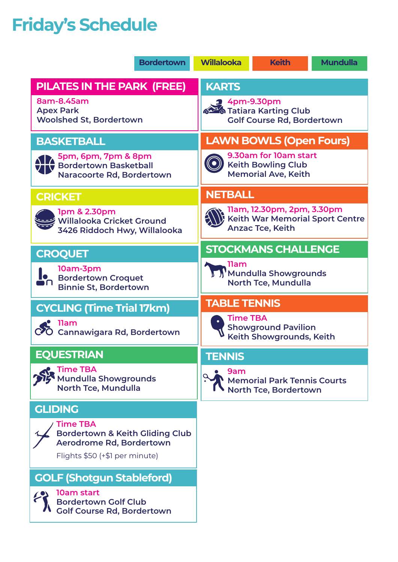## **Friday's Schedule**

| <b>Bordertown</b>                                                                                                           | <b>Willalooka</b><br><b>Keith</b><br><b>Mundulla</b>                                     |  |  |  |  |
|-----------------------------------------------------------------------------------------------------------------------------|------------------------------------------------------------------------------------------|--|--|--|--|
| <b>PILATES IN THE PARK (FREE)</b>                                                                                           | <b>KARTS</b>                                                                             |  |  |  |  |
| 8am-8.45am<br><b>Apex Park</b><br><b>Woolshed St, Bordertown</b>                                                            | $2$ 4pm-9.30pm<br>626 Tatiara Karting Club<br><b>Golf Course Rd, Bordertown</b>          |  |  |  |  |
| <b>BASKETBALL</b>                                                                                                           | <b>LAWN BOWLS (Open Fours)</b>                                                           |  |  |  |  |
| 5pm, 6pm, 7pm & 8pm<br>Bordertown Basketball<br>Naracoorte Rd, Bordertown                                                   | 9.30am for 10am start<br><b>Keith Bowling Club</b><br><b>Memorial Ave, Keith</b>         |  |  |  |  |
| <b>CRICKET</b>                                                                                                              | <b>NETBALL</b>                                                                           |  |  |  |  |
| 1pm & 2.30pm<br><b>Willalooka Cricket Ground</b><br>3426 Riddoch Hwy, Willalooka                                            | 11am, 12.30pm, 2pm, 3.30pm<br>Keith War Memorial Sport Centre<br><b>Anzac Tce, Keith</b> |  |  |  |  |
| <b>CROQUET</b>                                                                                                              | <b>STOCKMANS CHALLENGE</b>                                                               |  |  |  |  |
| 10am-3pm<br><b>Bordertown Croquet</b><br><b>Binnie St, Bordertown</b>                                                       | . 11am<br>Mundulla Showgrounds<br><b>North Tce, Mundulla</b>                             |  |  |  |  |
| <b>CYCLING (Time Trial 17km)</b>                                                                                            | <b>TABLE TENNIS</b>                                                                      |  |  |  |  |
| 11am<br>Cannawigara Rd, Bordertown                                                                                          | <b>Time TBA</b><br><b>Showground Pavilion</b><br>Keith Showgrounds, Keith                |  |  |  |  |
| <b>EQUESTRIAN</b>                                                                                                           | <b>TENNIS</b>                                                                            |  |  |  |  |
| <b>Time TBA</b><br><b>Mundulla Showgrounds</b><br><b>North Tce, Mundulla</b>                                                | 9am<br><b>Memorial Park Tennis Courts</b><br><b>North Tce, Bordertown</b>                |  |  |  |  |
| <b>GLIDING</b>                                                                                                              |                                                                                          |  |  |  |  |
| <b>Time TBA</b><br><b>Bordertown &amp; Keith Gliding Club</b><br>Aerodrome Rd, Bordertown<br>Flights \$50 (+\$1 per minute) |                                                                                          |  |  |  |  |
| <b>GOLF (Shotgun Stableford)</b>                                                                                            |                                                                                          |  |  |  |  |
| 10am start<br><b>Bordertown Golf Club</b><br><b>Golf Course Rd, Bordertown</b>                                              |                                                                                          |  |  |  |  |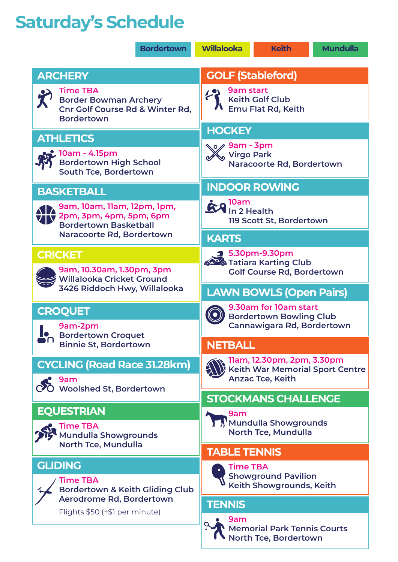## **Saturday's Schedule**

|  |                                                                                                                    | <b>Bordertown</b> | <b>Willalooka</b>                                                                               | <b>Keith</b>                                           | <b>Mundulla</b> |  |  |
|--|--------------------------------------------------------------------------------------------------------------------|-------------------|-------------------------------------------------------------------------------------------------|--------------------------------------------------------|-----------------|--|--|
|  | <b>ARCHERY</b>                                                                                                     |                   | <b>GOLF (Stableford)</b>                                                                        |                                                        |                 |  |  |
|  | <b>Time TBA</b><br><b>Border Bowman Archery</b><br><b>Cnr Golf Course Rd &amp; Winter Rd,</b><br><b>Bordertown</b> |                   | <b>9am start</b><br><b>Keith Golf Club</b><br>Emu Flat Rd, Keith                                |                                                        |                 |  |  |
|  | <b>ATHLETICS</b>                                                                                                   |                   | <b>HOCKEY</b>                                                                                   |                                                        |                 |  |  |
|  | , 10am - 4.15pm<br><b>Bordertown High School</b><br><b>South Tce, Bordertown</b>                                   |                   | No⊘ 9am - 3pm<br><b>Virgo Park</b><br>Naracoorte Rd, Bordertown                                 |                                                        |                 |  |  |
|  | <b>BASKETBALL</b>                                                                                                  |                   |                                                                                                 | <b>INDOOR ROWING</b>                                   |                 |  |  |
|  | 9am, 10am, 11am, 12pm, 1pm,<br>2pm, 3pm, 4pm, 5pm, 6pm<br><b>Bordertown Basketball</b>                             |                   | <b>A</b> loam<br>In 2 Health<br>119 Scott St, Bordertown                                        |                                                        |                 |  |  |
|  | Naracoorte Rd, Bordertown                                                                                          |                   | <b>KARTS</b>                                                                                    |                                                        |                 |  |  |
|  | <b>CRICKET</b><br>9am, 10.30am, 1.30pm, 3pm<br><b>Willalooka Cricket Ground</b>                                    |                   | $2$ 5.30pm-9.30pm<br>626 Tatiara Karting Club<br><b>Golf Course Rd, Bordertown</b>              |                                                        |                 |  |  |
|  | 3426 Riddoch Hwy, Willalooka                                                                                       |                   | <b>LAWN BOWLS (Open Pairs)</b>                                                                  |                                                        |                 |  |  |
|  | <b>CROQUET</b><br>9am-2pm                                                                                          |                   | 9.30am for 10am start<br><b>Bordertown Bowling Club</b><br><b>Cannawigara Rd, Bordertown</b>    |                                                        |                 |  |  |
|  | <b>Bordertown Croquet</b><br><b>Binnie St, Bordertown</b>                                                          |                   | <b>NETBALL</b>                                                                                  |                                                        |                 |  |  |
|  | <b>CYCLING (Road Race 31.28km)</b><br>9am<br><b>Woolshed St, Bordertown</b>                                        |                   | 11am, 12.30pm, 2pm, 3.30pm<br><b>Keith War Memorial Sport Centre</b><br><b>Anzac Tce, Keith</b> |                                                        |                 |  |  |
|  |                                                                                                                    |                   |                                                                                                 | <b>STOCKMANS CHALLENGE</b>                             |                 |  |  |
|  | <b>EQUESTRIAN</b><br><b>Time TBA</b><br><b>Mundulla Showgrounds</b>                                                |                   | 9am<br>Mundulla Showgrounds<br>North Tce, Mundulla                                              |                                                        |                 |  |  |
|  | North Tce, Mundulla                                                                                                |                   | <b>TABLE TENNIS</b>                                                                             |                                                        |                 |  |  |
|  | <b>GLIDING</b><br>Time TBA<br><b>Bordertown &amp; Keith Gliding Club</b>                                           |                   | <b>Time TBA</b>                                                                                 | <b>Showground Pavilion</b><br>Keith Showgrounds, Keith |                 |  |  |
|  | Aerodrome Rd, Bordertown                                                                                           |                   | <b>TENNIS</b>                                                                                   |                                                        |                 |  |  |
|  | Flights \$50 (+\$1 per minute)                                                                                     |                   | 9am<br><b>Memorial Park Tennis Courts</b><br>North Tce, Bordertown                              |                                                        |                 |  |  |